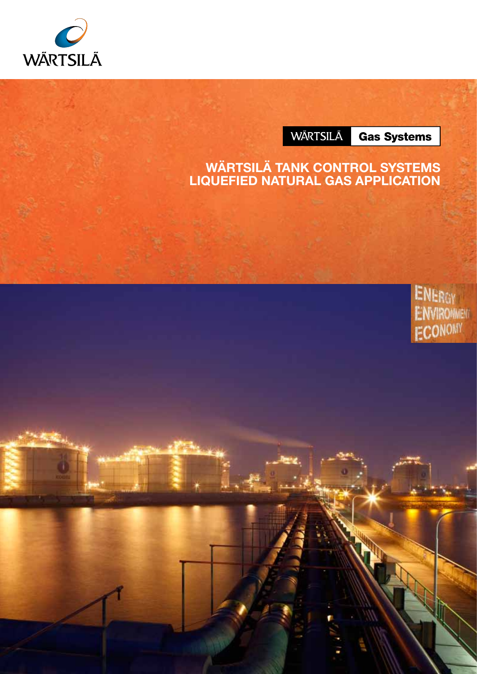

**WÄRTSILÄ** 

**Gas Systems** 

### Wärtsilä Tank Control Systems LIQUEFIED NATURAL GAS APPLICAT

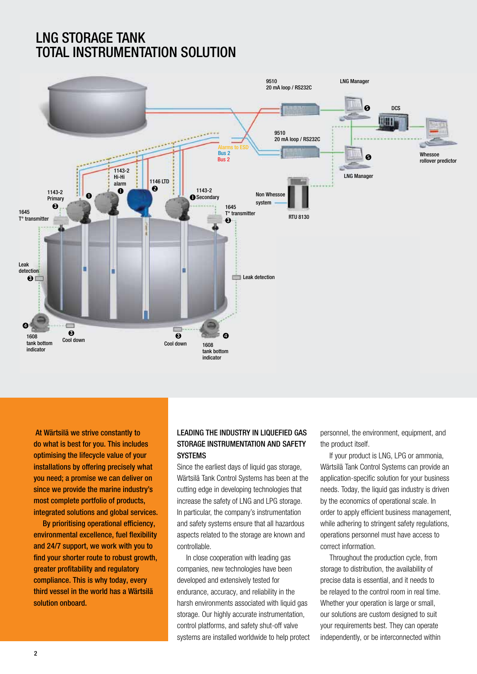# lnG StoRAGe tAnK TOTAL INSTRUMENTATION SOLUTION



 At wärtsilä we strive constantly to do what is best for you. This includes optimising the lifecycle value of your installations by offering precisely what you need; a promise we can deliver on since we provide the marine industry's most complete portfolio of products, integrated solutions and global services.

By prioritising operational efficiency, environmental excellence, fuel flexibility and 24/7 support, we work with you to find your shorter route to robust growth, greater profitability and regulatory compliance. This is why today, every third vessel in the world has a wärtsilä solution onboard.

#### leADinG tHe inDuStRY in liQuefieD GAS STORAGE INSTRUMENTATION AND SAFETY **SYSTEMS**

Since the earliest days of liquid gas storage, Wärtsilä Tank Control Systems has been at the cutting edge in developing technologies that increase the safety of LNG and LPG storage. In particular, the company's instrumentation and safety systems ensure that all hazardous aspects related to the storage are known and controllable.

In close cooperation with leading gas companies, new technologies have been developed and extensively tested for endurance, accuracy, and reliability in the harsh environments associated with liquid gas storage. Our highly accurate instrumentation, control platforms, and safety shut-off valve systems are installed worldwide to help protect

personnel, the environment, equipment, and the product itself.

If your product is LNG, LPG or ammonia, Wärtsilä Tank Control Systems can provide an application-specific solution for your business needs. Today, the liquid gas industry is driven by the economics of operational scale. In order to apply efficient business management, while adhering to stringent safety regulations, operations personnel must have access to correct information.

Throughout the production cycle, from storage to distribution, the availability of precise data is essential, and it needs to be relayed to the control room in real time. Whether your operation is large or small. our solutions are custom designed to suit your requirements best. They can operate independently, or be interconnected within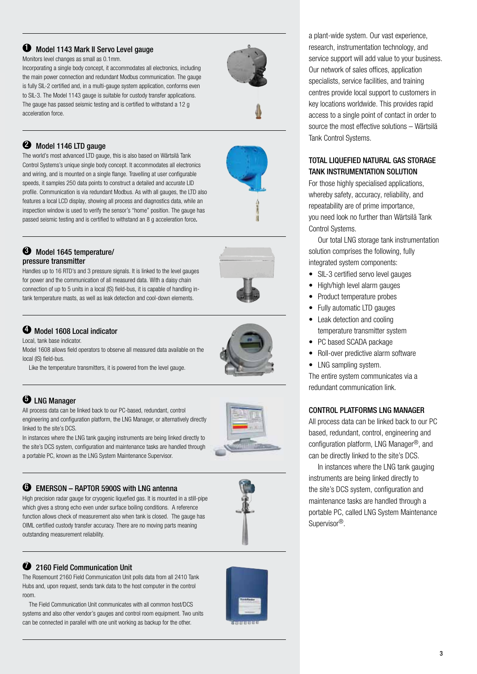#### $\bullet$  Model 1143 Mark II Servo Level gauge

Monitors level changes as small as 0.1mm.

Incorporating a single body concept, it accommodates all electronics, including the main power connection and redundant Modbus communication. The gauge is fully SIL-2 certified and, in a multi-gauge system application, conforms even to SIL-3. The Model 1143 gauge is suitable for custody transfer applications. The gauge has passed seismic testing and is certified to withstand a 12 g acceleration force.



<sup>2</sup> Model 1146 LTD gauge

The world's most advanced LTD gauge, this is also based on Wärtsilä Tank Control Systems's unique single body concept. It accommodates all electronics and wiring, and is mounted on a single flange. Travelling at user configurable speeds, it samples 250 data points to construct a detailed and accurate LID profile. Communication is via redundant Modbus. As with all gauges, the LTD also features a local LCD display, showing all process and diagnostics data, while an inspection window is used to verify the sensor's "home" position. The gauge has passed seismic testing and is certified to withstand an 8 g acceleration force.

#### <sup>3</sup> Model 1645 temperature/ pressure transmitter

Handles up to 16 RTD's and 3 pressure signals. It is linked to the level gauges for power and the communication of all measured data. With a daisy chain connection of up to 5 units in a local (IS) field-bus, it is capable of handling intank temperature masts, as well as leak detection and cool-down elements.

#### 4 model 1608 local indicator

Local, tank base indicator.

Model 1608 allows field operators to observe all measured data available on the local (IS) field-bus.

Like the temperature transmitters, it is powered from the level gauge.

#### **5** LNG Manager

All process data can be linked back to our PC-based, redundant, control engineering and configuration platform, the LNG Manager, or alternatively directly linked to the site's DCS.

In instances where the LNG tank gauging instruments are being linked directly to the site's DCS system, configuration and maintenance tasks are handled through a portable PC, known as the LNG System Maintenance Supervisor.



#### 6 emeRSon – RAPtoR 5900S with lnG antenna

High precision radar gauge for cryogenic liquefied gas. It is mounted in a still-pipe which gives a strong echo even under surface boiling conditions. A reference function allows check of measurement also when tank is closed. The gauge has OIML certified custody transfer accuracy. There are no moving parts meaning outstanding measurement reliability.

# <sup>2</sup> 2160 Field Communication Unit

The Rosemount 2160 Field Communication Unit polls data from all 2410 Tank Hubs and, upon request, sends tank data to the host computer in the control room.

 The Field Communication Unit communicates with all common host/DCS systems and also other vendor's gauges and control room equipment. Two units can be connected in parallel with one unit working as backup for the other.



a plant-wide system. Our vast experience, research, instrumentation technology, and service support will add value to your business. Our network of sales offices, application specialists, service facilities, and training centres provide local support to customers in key locations worldwide. This provides rapid access to a single point of contact in order to source the most effective solutions – Wärtsilä Tank Control Systems.

#### TOTAL LIQUEFIED NATURAL GAS STORAGE tAnK inStRumentAtion Solution

For those highly specialised applications, whereby safety, accuracy, reliability, and repeatability are of prime importance, you need look no further than Wärtsilä Tank Control Systems.

Our total LNG storage tank instrumentation solution comprises the following, fully integrated system components:

- SIL-3 certified servo level gauges
- High/high level alarm gauges
- Product temperature probes
- Fully automatic LTD gauges
- Leak detection and cooling temperature transmitter system
- PC based SCADA package
- Roll-over predictive alarm software
- LNG sampling system.

The entire system communicates via a redundant communication link.

#### ContRol PlAtfoRmS lnG mAnAGeR

All process data can be linked back to our PC based, redundant, control, engineering and configuration platform, LNG Manager<sup>®</sup>, and can be directly linked to the site's DCS.

In instances where the LNG tank gauging instruments are being linked directly to the site's DCS system, configuration and maintenance tasks are handled through a portable PC, called LNG System Maintenance Supervisor<sup>®</sup>.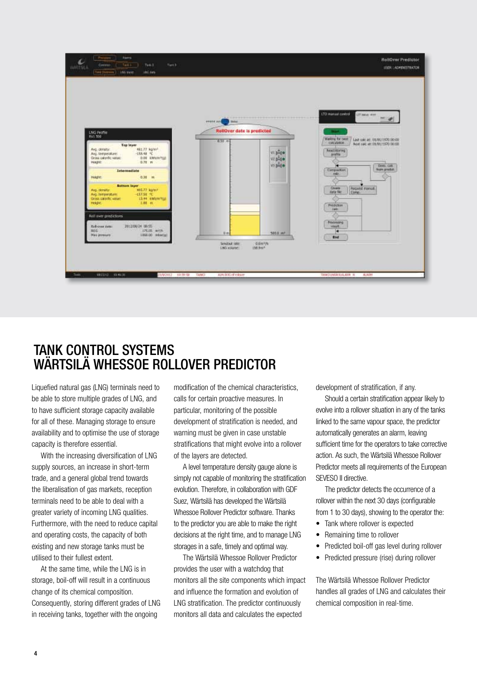

# tAnK ContRol SYStemS WÄRTSILÄ WHESSOE ROLLOVER PREDICTOR

Liquefied natural gas (LNG) terminals need to be able to store multiple grades of LNG, and to have sufficient storage capacity available for all of these. Managing storage to ensure availability and to optimise the use of storage capacity is therefore essential.

With the increasing diversification of LNG supply sources, an increase in short-term trade, and a general global trend towards the liberalisation of gas markets, reception terminals need to be able to deal with a greater variety of incoming LNG qualities. Furthermore, with the need to reduce capital and operating costs, the capacity of both existing and new storage tanks must be utilised to their fullest extent.

At the same time, while the LNG is in storage, boil-off will result in a continuous change of its chemical composition. Consequently, storing different grades of LNG in receiving tanks, together with the ongoing

modification of the chemical characteristics, calls for certain proactive measures. In particular, monitoring of the possible development of stratification is needed, and warning must be given in case unstable stratifications that might evolve into a rollover of the layers are detected.

A level temperature density gauge alone is simply not capable of monitoring the stratification evolution. Therefore, in collaboration with GDF Suez, Wärtsilä has developed the Wärtsilä Whessoe Rollover Predictor software. Thanks to the predictor you are able to make the right decisions at the right time, and to manage LNG storages in a safe, timely and optimal way.

The Wärtsilä Whessoe Rollover Predictor provides the user with a watchdog that monitors all the site components which impact and influence the formation and evolution of LNG stratification. The predictor continuously monitors all data and calculates the expected

development of stratification, if any.

Should a certain stratification appear likely to evolve into a rollover situation in any of the tanks linked to the same vapour space, the predictor automatically generates an alarm, leaving sufficient time for the operators to take corrective action. As such, the Wärtsilä Whessoe Rollover Predictor meets all requirements of the European SEVESO II directive.

The predictor detects the occurrence of a rollover within the next 30 days (configurable from 1 to 30 days), showing to the operator the:

- Tank where rollover is expected
- Remaining time to rollover
- Predicted boil-off gas level during rollover
- Predicted pressure (rise) during rollover

The Wärtsilä Whessoe Rollover Predictor handles all grades of LNG and calculates their chemical composition in real-time.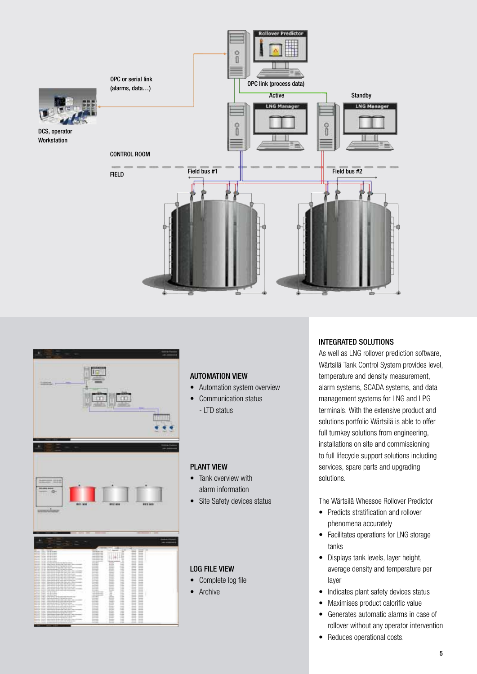



#### Automation view

- Automation system overview
- Communication status - LTD status

#### Plant view

- Tank overview with alarm information
- Site Safety devices status

#### LOG file view

- Complete log file
- Archive

#### Integrated solutions

As well as LNG rollover prediction software, Wärtsilä Tank Control System provides level, temperature and density measurement, alarm systems, SCADA systems, and data management systems for LNG and LPG terminals. With the extensive product and solutions portfolio Wärtsilä is able to offer full turnkey solutions from engineering, installations on site and commissioning to full lifecycle support solutions including services, spare parts and upgrading solutions.

The Wärtsilä Whessoe Rollover Predictor

- Predicts stratification and rollover phenomena accurately
- Facilitates operations for LNG storage tanks
- Displays tank levels, layer height, average density and temperature per layer
- Indicates plant safety devices status
- Maximises product calorific value
- Generates automatic alarms in case of rollover without any operator intervention
- Reduces operational costs.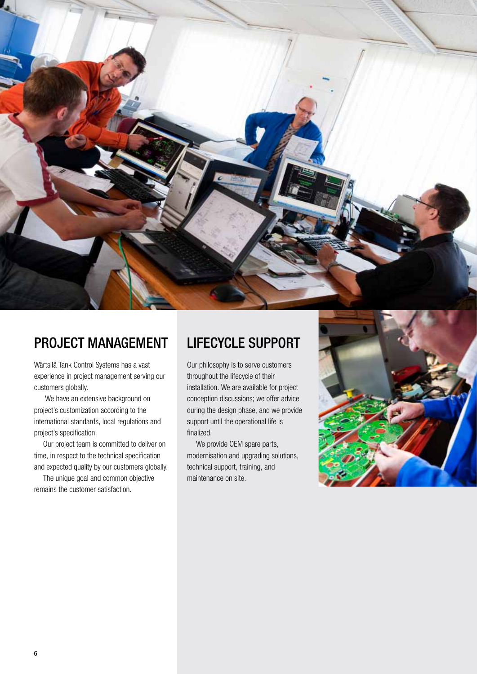

# PROJECT MANAGEMENT

Wärtsilä Tank Control Systems has a vast experience in project management serving our customers globally.

 We have an extensive background on project's customization according to the international standards, local regulations and project's specification.

Our project team is committed to deliver on time, in respect to the technical specification and expected quality by our customers globally.

The unique goal and common objective remains the customer satisfaction.

# LIFECYCLE SUPPORT

Our philosophy is to serve customers throughout the lifecycle of their installation. We are available for project conception discussions; we offer advice during the design phase, and we provide support until the operational life is finalized.

We provide OEM spare parts, modernisation and upgrading solutions, technical support, training, and maintenance on site.

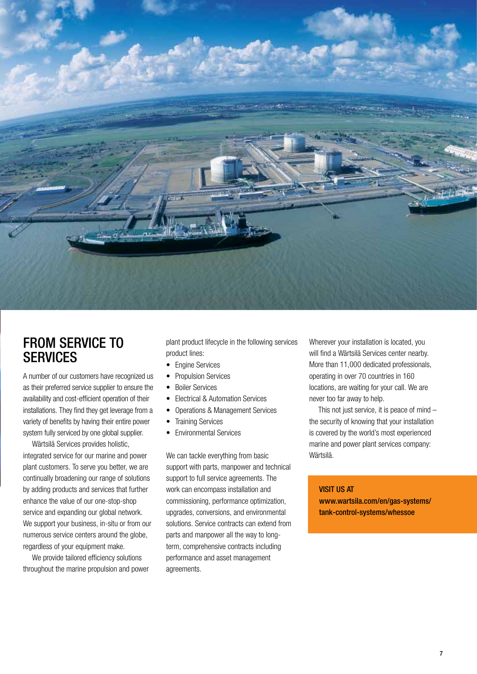

## FROM SERVICE TO **SERVICES**

A number of our customers have recognized us as their preferred service supplier to ensure the availability and cost-efficient operation of their installations. They find they get leverage from a variety of benefits by having their entire power system fully serviced by one global supplier.

Wärtsilä Services provides holistic, integrated service for our marine and power plant customers. To serve you better, we are continually broadening our range of solutions by adding products and services that further enhance the value of our one-stop-shop service and expanding our global network. We support your business, in-situ or from our numerous service centers around the globe, regardless of your equipment make.

We provide tailored efficiency solutions throughout the marine propulsion and power

plant product lifecycle in the following services product lines:

- Fngine Services
- Propulsion Services
- Boiler Services
- Electrical & Automation Services
- Operations & Management Services
- Training Services
- Environmental Services

We can tackle everything from basic support with parts, manpower and technical support to full service agreements. The work can encompass installation and commissioning, performance optimization, upgrades, conversions, and environmental solutions. Service contracts can extend from parts and manpower all the way to longterm, comprehensive contracts including performance and asset management agreements.

Wherever your installation is located, you will find a Wärtsilä Services center nearby. More than 11,000 dedicated professionals, operating in over 70 countries in 160 locations, are waiting for your call. We are never too far away to help.

This not just service, it is peace of mind – the security of knowing that your installation is covered by the world's most experienced marine and power plant services company: Wärtsilä.

#### VISIT US AT

www.wartsila.com/en/gas-systems/ tank-control-systems/whessoe